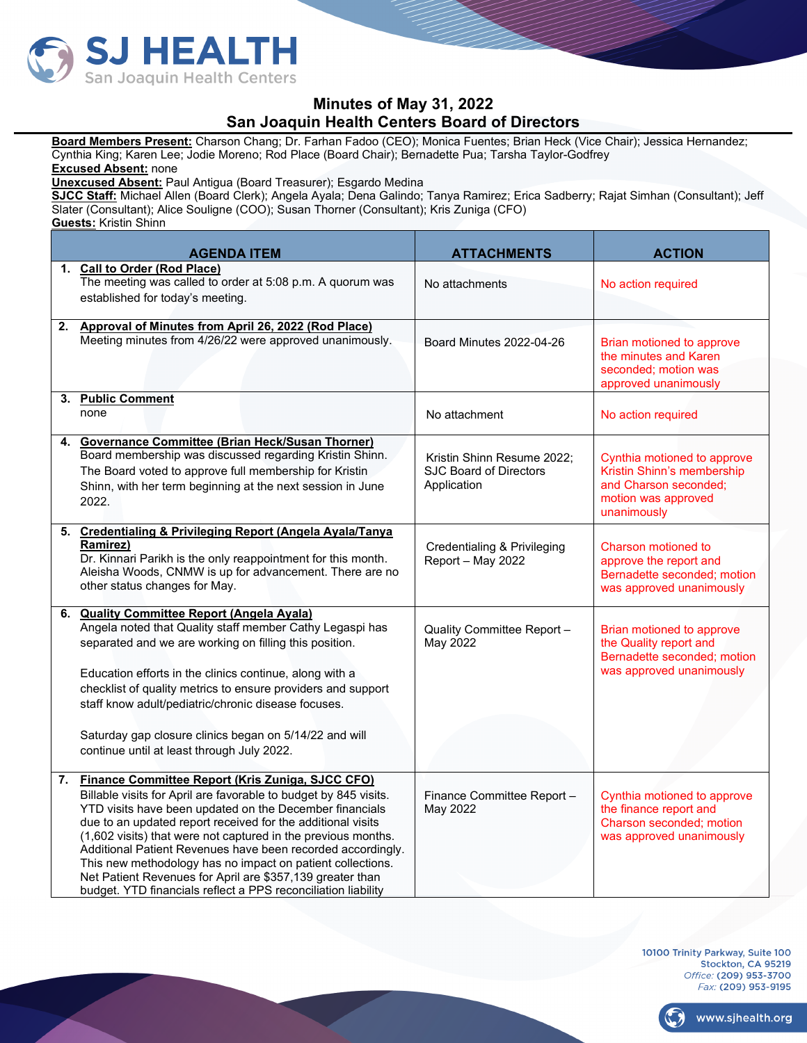

## **Minutes of May 31, 2022 San Joaquin Health Centers Board of Directors**

**Board Members Present:** Charson Chang; Dr. Farhan Fadoo (CEO); Monica Fuentes; Brian Heck (Vice Chair); Jessica Hernandez; Cynthia King; Karen Lee; Jodie Moreno; Rod Place (Board Chair); Bernadette Pua; Tarsha Taylor-Godfrey

**Excused Absent:** none

**Unexcused Absent:** Paul Antigua (Board Treasurer); Esgardo Medina

**SJCC Staff:** Michael Allen (Board Clerk); Angela Ayala; Dena Galindo; Tanya Ramirez; Erica Sadberry; Rajat Simhan (Consultant); Jeff Slater (Consultant); Alice Souligne (COO); Susan Thorner (Consultant); Kris Zuniga (CFO)

**Guests:** Kristin Shinn

| <b>AGENDA ITEM</b>                                                                                                                                                                                                                                                                                                                                                                                                                                                                                                                                                            | <b>ATTACHMENTS</b>                                                         | <b>ACTION</b>                                                                                                            |
|-------------------------------------------------------------------------------------------------------------------------------------------------------------------------------------------------------------------------------------------------------------------------------------------------------------------------------------------------------------------------------------------------------------------------------------------------------------------------------------------------------------------------------------------------------------------------------|----------------------------------------------------------------------------|--------------------------------------------------------------------------------------------------------------------------|
| 1. Call to Order (Rod Place)<br>The meeting was called to order at 5:08 p.m. A quorum was<br>established for today's meeting.                                                                                                                                                                                                                                                                                                                                                                                                                                                 | No attachments                                                             | No action required                                                                                                       |
| 2. Approval of Minutes from April 26, 2022 (Rod Place)<br>Meeting minutes from 4/26/22 were approved unanimously.                                                                                                                                                                                                                                                                                                                                                                                                                                                             | Board Minutes 2022-04-26                                                   | Brian motioned to approve<br>the minutes and Karen<br>seconded; motion was<br>approved unanimously                       |
| 3. Public Comment<br>none                                                                                                                                                                                                                                                                                                                                                                                                                                                                                                                                                     | No attachment                                                              | No action required                                                                                                       |
| 4. Governance Committee (Brian Heck/Susan Thorner)<br>Board membership was discussed regarding Kristin Shinn.<br>The Board voted to approve full membership for Kristin<br>Shinn, with her term beginning at the next session in June<br>2022.                                                                                                                                                                                                                                                                                                                                | Kristin Shinn Resume 2022:<br><b>SJC Board of Directors</b><br>Application | Cynthia motioned to approve<br>Kristin Shinn's membership<br>and Charson seconded;<br>motion was approved<br>unanimously |
| 5. Credentialing & Privileging Report (Angela Ayala/Tanya<br>Ramirez)<br>Dr. Kinnari Parikh is the only reappointment for this month.<br>Aleisha Woods, CNMW is up for advancement. There are no<br>other status changes for May.                                                                                                                                                                                                                                                                                                                                             | Credentialing & Privileging<br>Report - May 2022                           | Charson motioned to<br>approve the report and<br>Bernadette seconded; motion<br>was approved unanimously                 |
| 6. Quality Committee Report (Angela Ayala)<br>Angela noted that Quality staff member Cathy Legaspi has<br>separated and we are working on filling this position.<br>Education efforts in the clinics continue, along with a<br>checklist of quality metrics to ensure providers and support<br>staff know adult/pediatric/chronic disease focuses.<br>Saturday gap closure clinics began on 5/14/22 and will<br>continue until at least through July 2022.                                                                                                                    | Quality Committee Report -<br>May 2022                                     | Brian motioned to approve<br>the Quality report and<br>Bernadette seconded; motion<br>was approved unanimously           |
| 7. Finance Committee Report (Kris Zuniga, SJCC CFO)<br>Billable visits for April are favorable to budget by 845 visits.<br>YTD visits have been updated on the December financials<br>due to an updated report received for the additional visits<br>(1,602 visits) that were not captured in the previous months.<br>Additional Patient Revenues have been recorded accordingly.<br>This new methodology has no impact on patient collections.<br>Net Patient Revenues for April are \$357,139 greater than<br>budget. YTD financials reflect a PPS reconciliation liability | Finance Committee Report -<br>May 2022                                     | Cynthia motioned to approve<br>the finance report and<br>Charson seconded; motion<br>was approved unanimously            |

10100 Trinity Parkway, Suite 100 Stockton, CA 95219 Office: (209) 953-3700 Fax: (209) 953-9195

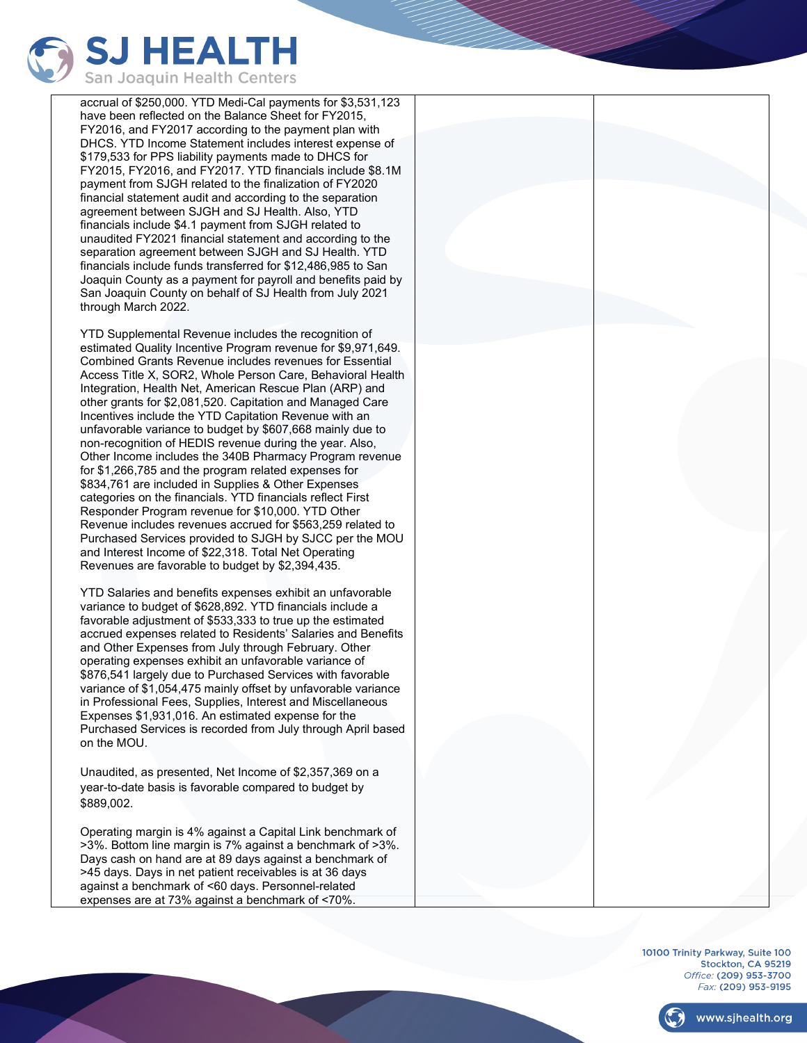

accrual of \$250,000. YTD Medi-Cal payments for \$3,531,123 have been reflected on the Balance Sheet for FY2015, FY2016, and FY2017 according to the payment plan with DHCS. YTD Income Statement includes interest expense of \$179,533 for PPS liability payments made to DHCS for FY2015, FY2016, and FY2017. YTD financials include \$8.1M payment from SJGH related to the finalization of FY2020 financial statement audit and according to the separation agreement between SJGH and SJ Health. Also, YTD financials include \$4.1 payment from SJGH related to unaudited FY2021 financial statement and according to the separation agreement between SJGH and SJ Health. YTD financials include funds transferred for \$12,486,985 to San Joaquin County as a payment for payroll and benefits paid by San Joaquin County on behalf of SJ Health from July 2021 through March 2022.

YTD Supplemental Revenue includes the recognition of estimated Quality Incentive Program revenue for \$9,971,649. Combined Grants Revenue includes revenues for Essential Access Title X, SOR2, Whole Person Care, Behavioral Health Integration, Health Net, American Rescue Plan (ARP) and other grants for \$2,081,520. Capitation and Managed Care Incentives include the YTD Capitation Revenue with an unfavorable variance to budget by \$607,668 mainly due to non-recognition of HEDIS revenue during the year. Also, Other Income includes the 340B Pharmacy Program revenue for \$1,266,785 and the program related expenses for \$834,761 are included in Supplies & Other Expenses categories on the financials. YTD financials reflect First Responder Program revenue for \$10,000. YTD Other Revenue includes revenues accrued for \$563,259 related to Purchased Services provided to SJGH by SJCC per the MOU and Interest Income of \$22,318. Total Net Operating Revenues are favorable to budget by \$2,394,435.

YTD Salaries and benefits expenses exhibit an unfavorable variance to budget of \$628,892. YTD financials include a favorable adjustment of \$533,333 to true up the estimated accrued expenses related to Residents' Salaries and Benefits and Other Expenses from July through February. Other operating expenses exhibit an unfavorable variance of \$876,541 largely due to Purchased Services with favorable variance of \$1,054,475 mainly offset by unfavorable variance in Professional Fees, Supplies, Interest and Miscellaneous Expenses \$1,931,016. An estimated expense for the Purchased Services is recorded from July through April based on the MOU.

Unaudited, as presented, Net Income of \$2,357,369 on a year-to-date basis is favorable compared to budget by \$889,002.

Operating margin is 4% against a Capital Link benchmark of >3%. Bottom line margin is 7% against a benchmark of >3%. Days cash on hand are at 89 days against a benchmark of >45 days. Days in net patient receivables is at 36 days against a benchmark of <60 days. Personnel-related expenses are at 73% against a benchmark of <70%.



10100 Trinity Parkway, Suite 100 Stockton, CA 95219 Office: (209) 953-3700 Fax: (209) 953-9195



www.sjhealth.org